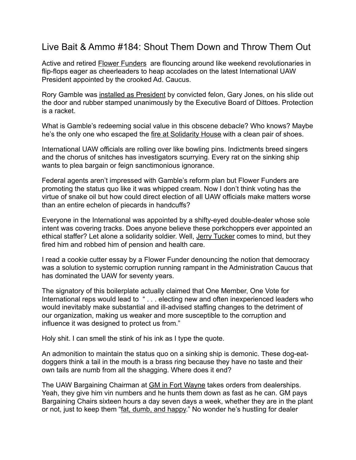## Live Bait & Ammo #184: Shout Them Down and Throw Them Out

Active and retired **[Flower Funders](https://www.detroitnews.com/story/business/autos/chrysler/2019/03/21/feds-investigate-uaw-flower-funds-corruption-probe/3222754002/)** are flouncing around like weekend revolutionaries in flip-flops eager as cheerleaders to heap accolades on the latest International UAW President appointed by the crooked Ad. Caucus.

Rory Gamble was [installed as President](https://www.labornotes.org/2020/04/exclusive-transcripts-show-disgraced-uaw-president-strong-armed-board-pick-his-own-successor) by convicted felon, Gary Jones, on his slide out the door and rubber stamped unanimously by the Executive Board of Dittoes. Protection is a racket.

What is Gamble's redeeming social value in this obscene debacle? Who knows? Maybe he's the only one who escaped the [fire at Solidarity House](https://www.detroitnews.com/story/business/autos/2019/12/11/feds-scrutinize-uaw-solidarity-house-fire-investigation/4387762002/) with a clean pair of shoes.

International UAW officials are rolling over like bowling pins. Indictments breed singers and the chorus of snitches has investigators scurrying. Every rat on the sinking ship wants to plea bargain or feign sanctimonious ignorance.

Federal agents aren't impressed with Gamble's reform plan but Flower Funders are promoting the status quo like it was whipped cream. Now I don't think voting has the virtue of snake oil but how could direct election of all UAW officials make matters worse than an entire echelon of piecards in handcuffs?

Everyone in the International was appointed by a shifty-eyed double-dealer whose sole intent was covering tracks. Does anyone believe these porkchoppers ever appointed an ethical staffer? Let alone a solidarity soldier. Well, [Jerry Tucker](https://www.multinationalmonitor.org/hyper/issues/1990/01/interview-tucker.html) comes to mind, but they fired him and robbed him of pension and health care.

I read a cookie cutter essay by a Flower Funder denouncing the notion that democracy was a solution to systemic corruption running rampant in the Administration Caucus that has dominated the UAW for seventy years.

The signatory of this boilerplate actually claimed that One Member, One Vote for International reps would lead to " . . . electing new and often inexperienced leaders who would inevitably make substantial and ill-advised staffing changes to the detriment of our organization, making us weaker and more susceptible to the corruption and influence it was designed to protect us from."

Holy shit. I can smell the stink of his ink as I type the quote.

An admonition to maintain the status quo on a sinking ship is demonic. These dog-eatdoggers think a tail in the mouth is a brass ring because they have no taste and their own tails are numb from all the shagging. Where does it end?

The UAW Bargaining Chairman at **GM in Fort Wayne takes orders from dealerships.** Yeah, they give him vin numbers and he hunts them down as fast as he can. GM pays Bargaining Chairs sixteen hours a day seven days a week, whether they are in the plant or not, just to keep them ["fat, dumb, and happy.](https://www.thetruthaboutcars.com/2017/08/fat-dumb-happy-fourth-executive-charged-feds-dish-uaw-fca-conspiracy/)" No wonder he's hustling for dealer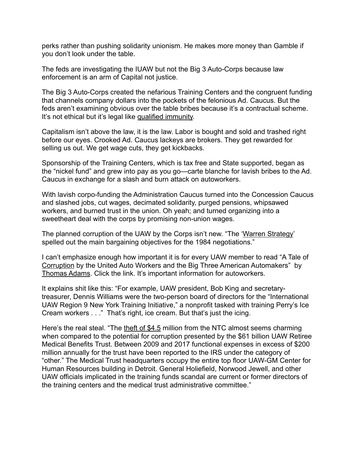perks rather than pushing solidarity unionism. He makes more money than Gamble if you don't look under the table.

The feds are investigating the IUAW but not the Big 3 Auto-Corps because law enforcement is an arm of Capital not justice.

The Big 3 Auto-Corps created the nefarious Training Centers and the congruent funding that channels company dollars into the pockets of the felonious Ad. Caucus. But the feds aren't examining obvious over the table bribes because it's a contractual scheme. It's not ethical but it's legal like [qualified immunity.](https://theappeal.org/qualified-immunity-explained/)

Capitalism isn't above the law, it is the law. Labor is bought and sold and trashed right before our eyes. Crooked Ad. Caucus lackeys are brokers. They get rewarded for selling us out. We get wage cuts, they get kickbacks.

Sponsorship of the Training Centers, which is tax free and State supported, began as the "nickel fund" and grew into pay as you go—carte blanche for lavish bribes to the Ad. Caucus in exchange for a slash and burn attack on autoworkers.

With lavish corpo-funding the Administration Caucus turned into the Concession Caucus and slashed jobs, cut wages, decimated solidarity, purged pensions, whipsawed workers, and burned trust in the union. Oh yeah; and turned organizing into a sweetheart deal with the corps by promising non-union wages.

The planned corruption of the UAW by the Corps isn't new. "The '[Warren Strategy'](https://mronline.org/2019/08/19/a-tale-of-corruption-by-the-united-auto-workers-and-the-big-three-american-automakers/#gsc.tab=0) spelled out the main bargaining objectives for the 1984 negotiations."

I can't emphasize enough how important it is for every UAW member to read "A Tale of [Corruption](https://mronline.org/2019/08/19/a-tale-of-corruption-by-the-united-auto-workers-and-the-big-three-american-automakers/#gsc.tab=0) by the United Auto Workers and the Big Three American Automakers" by [Thomas Adams](https://mronline.org/2019/08/19/a-tale-of-corruption-by-the-united-auto-workers-and-the-big-three-american-automakers/#gsc.tab=0). Click the link. It's important information for autoworkers.

It explains shit like this: "For example, UAW president, Bob King and secretarytreasurer, Dennis Williams were the two-person board of directors for the "International UAW Region 9 New York Training Initiative," a nonprofit tasked with training Perry's Ice Cream workers . . ." That's right, ice cream. But that's just the icing.

Here's the real steal. "The [theft of \\$4.5](https://mronline.org/2019/08/19/a-tale-of-corruption-by-the-united-auto-workers-and-the-big-three-american-automakers/#gsc.tab=0) million from the NTC almost seems charming when compared to the potential for corruption presented by the \$61 billion UAW Retiree Medical Benefits Trust. Between 2009 and 2017 functional expenses in excess of \$200 million annually for the trust have been reported to the IRS under the category of "other." The Medical Trust headquarters occupy the entire top floor UAW-GM Center for Human Resources building in Detroit. General Holiefield, Norwood Jewell, and other UAW officials implicated in the training funds scandal are current or former directors of the training centers and the medical trust administrative committee."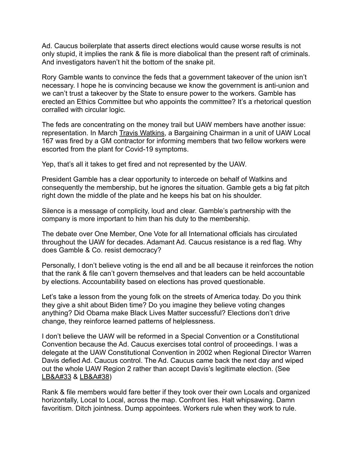Ad. Caucus boilerplate that asserts direct elections would cause worse results is not only stupid, it implies the rank & file is more diabolical than the present raft of criminals. And investigators haven't hit the bottom of the snake pit.

Rory Gamble wants to convince the feds that a government takeover of the union isn't necessary. I hope he is convincing because we know the government is anti-union and we can't trust a takeover by the State to ensure power to the workers. Gamble has erected an Ethics Committee but who appoints the committee? It's a rhetorical question corralled with circular logic.

The feds are concentrating on the money trail but UAW members have another issue: representation. In March [Travis Watkins,](https://www.greggshotwell.com/post/live-bait-ammo-180-which-side-are-you-on-rory-which-side-are-you-on) a Bargaining Chairman in a unit of UAW Local 167 was fired by a GM contractor for informing members that two fellow workers were escorted from the plant for Covid-19 symptoms.

Yep, that's all it takes to get fired and not represented by the UAW.

President Gamble has a clear opportunity to intercede on behalf of Watkins and consequently the membership, but he ignores the situation. Gamble gets a big fat pitch right down the middle of the plate and he keeps his bat on his shoulder.

Silence is a message of complicity, loud and clear. Gamble's partnership with the company is more important to him than his duty to the membership.

The debate over One Member, One Vote for all International officials has circulated throughout the UAW for decades. Adamant Ad. Caucus resistance is a red flag. Why does Gamble & Co. resist democracy?

Personally, I don't believe voting is the end all and be all because it reinforces the notion that the rank & file can't govern themselves and that leaders can be held accountable by elections. Accountability based on elections has proved questionable.

Let's take a lesson from the young folk on the streets of America today. Do you think they give a shit about Biden time? Do you imagine they believe voting changes anything? Did Obama make Black Lives Matter successful? Elections don't drive change, they reinforce learned patterns of helplessness.

I don't believe the UAW will be reformed in a Special Convention or a Constitutional Convention because the Ad. Caucus exercises total control of proceedings. I was a delegate at the UAW Constitutional Convention in 2002 when Regional Director Warren Davis defied Ad. Caucus control. The Ad. Caucus came back the next day and wiped out the whole UAW Region 2 rather than accept Davis's legitimate election. (See [LB&A#33](https://e422812a-70b1-4c3b-9177-fb50136a76a4.filesusr.com/ugd/4de7c5_b1b380f5a76943d18e83830643422053.pdf) & [LB&A#38](https://e422812a-70b1-4c3b-9177-fb50136a76a4.filesusr.com/ugd/4de7c5_4c2ed1fd30084ef7977b5ed96dab9bad.pdf))

Rank & file members would fare better if they took over their own Locals and organized horizontally, Local to Local, across the map. Confront lies. Halt whipsawing. Damn favoritism. Ditch jointness. Dump appointees. Workers rule when they work to rule.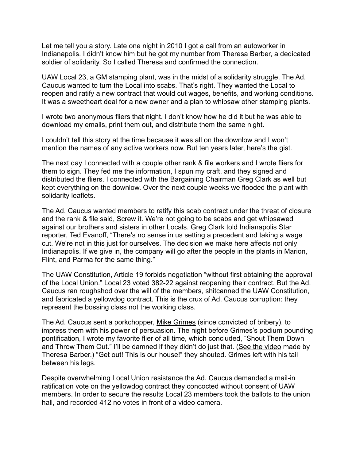Let me tell you a story. Late one night in 2010 I got a call from an autoworker in Indianapolis. I didn't know him but he got my number from Theresa Barber, a dedicated soldier of solidarity. So I called Theresa and confirmed the connection.

UAW Local 23, a GM stamping plant, was in the midst of a solidarity struggle. The Ad. Caucus wanted to turn the Local into scabs. That's right. They wanted the Local to reopen and ratify a new contract that would cut wages, benefits, and working conditions. It was a sweetheart deal for a new owner and a plan to whipsaw other stamping plants.

I wrote two anonymous fliers that night. I don't know how he did it but he was able to download my emails, print them out, and distribute them the same night.

I couldn't tell this story at the time because it was all on the downlow and I won't mention the names of any active workers now. But ten years later, here's the gist.

The next day I connected with a couple other rank & file workers and I wrote fliers for them to sign. They fed me the information, I spun my craft, and they signed and distributed the fliers. I connected with the Bargaining Chairman Greg Clark as well but kept everything on the downlow. Over the next couple weeks we flooded the plant with solidarity leaflets.

The Ad. Caucus wanted members to ratify this [scab contract](https://e422812a-70b1-4c3b-9177-fb50136a76a4.filesusr.com/ugd/4de7c5_051bda1bfbca4aff8e6c07ab1ba5eaeb.pdf) under the threat of closure and the rank & file said, Screw it. We're not going to be scabs and get whipsawed against our brothers and sisters in other Locals. Greg Clark told Indianapolis Star reporter, Ted Evanoff, "There's no sense in us setting a precedent and taking a wage cut. We're not in this just for ourselves. The decision we make here affects not only Indianapolis. If we give in, the company will go after the people in the plants in Marion, Flint, and Parma for the same thing."

The UAW Constitution, Article 19 forbids negotiation "without first obtaining the approval of the Local Union." Local 23 voted 382-22 against reopening their contract. But the Ad. Caucus ran roughshod over the will of the members, shitcanned the UAW Constitution, and fabricated a yellowdog contract. This is the crux of Ad. Caucus corruption: they represent the bossing class not the working class.

The Ad. Caucus sent a porkchopper, [Mike Grimes](https://www.detroitnews.com/story/business/autos/2020/02/19/ex-uaw-official-mike-grimes-sentenced-prison-bribery-scheme/4785086002/) (since convicted of bribery), to impress them with his power of persuasion. The night before Grimes's podium pounding pontification, I wrote my favorite flier of all time, which concluded, "Shout Them Down and Throw Them Out." I'll be damned if they didn't do just that. [\(See the video](https://www.greggshotwell.com/soldiers-of-solidarity) made by Theresa Barber.) "Get out! This is our house!" they shouted. Grimes left with his tail between his legs.

Despite overwhelming Local Union resistance the Ad. Caucus demanded a mail-in ratification vote on the yellowdog contract they concocted without consent of UAW members. In order to secure the results Local 23 members took the ballots to the union hall, and recorded 412 no votes in front of a video camera.